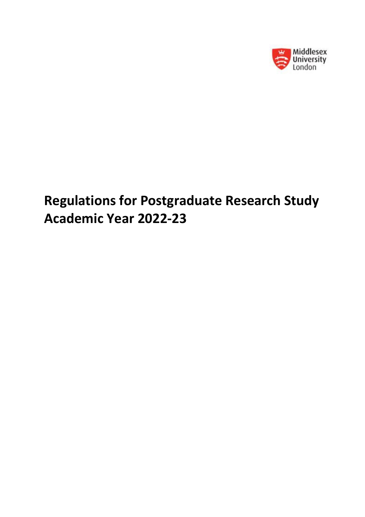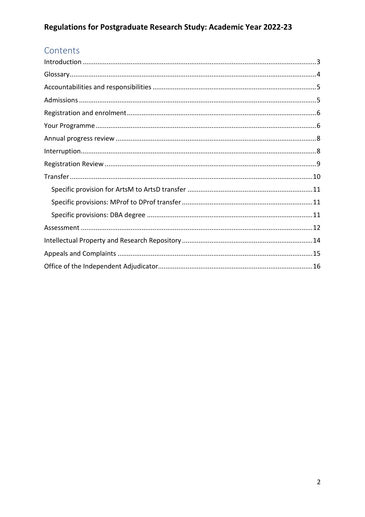# Contents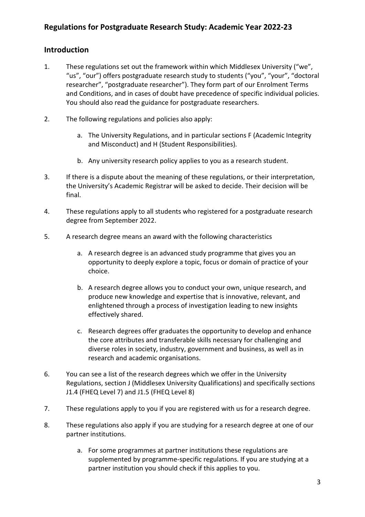#### <span id="page-2-0"></span>**Introduction**

- 1. These regulations set out the framework within which Middlesex University ("we", "us", "our") offers postgraduate research study to students ("you", "your", "doctoral researcher", "postgraduate researcher"). They form part of our Enrolment Terms and Conditions, and in cases of doubt have precedence of specific individual policies. You should also read the guidance for postgraduate researchers.
- 2. The following regulations and policies also apply:
	- a. The University Regulations, and in particular sections F (Academic Integrity and Misconduct) and H (Student Responsibilities).
	- b. Any university research policy applies to you as a research student.
- 3. If there is a dispute about the meaning of these regulations, or their interpretation, the University's Academic Registrar will be asked to decide. Their decision will be final.
- 4. These regulations apply to all students who registered for a postgraduate research degree from September 2022.
- 5. A research degree means an award with the following characteristics
	- a. A research degree is an advanced study programme that gives you an opportunity to deeply explore a topic, focus or domain of practice of your choice.
	- b. A research degree allows you to conduct your own, unique research, and produce new knowledge and expertise that is innovative, relevant, and enlightened through a process of investigation leading to new insights effectively shared.
	- c. Research degrees offer graduates the opportunity to develop and enhance the core attributes and transferable skills necessary for challenging and diverse roles in society, industry, government and business, as well as in research and academic organisations.
- 6. You can see a list of the research degrees which we offer in the University Regulations, section J (Middlesex University Qualifications) and specifically sections J1.4 (FHEQ Level 7) and J1.5 (FHEQ Level 8)
- 7. These regulations apply to you if you are registered with us for a research degree.
- 8. These regulations also apply if you are studying for a research degree at one of our partner institutions.
	- a. For some programmes at partner institutions these regulations are supplemented by programme-specific regulations. If you are studying at a partner institution you should check if this applies to you.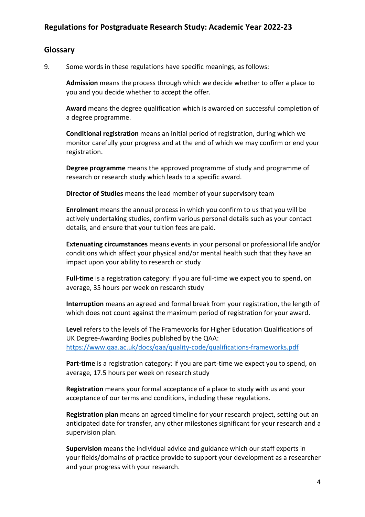#### <span id="page-3-0"></span>**Glossary**

9. Some words in these regulations have specific meanings, as follows:

**Admission** means the process through which we decide whether to offer a place to you and you decide whether to accept the offer.

**Award** means the degree qualification which is awarded on successful completion of a degree programme.

**Conditional registration** means an initial period of registration, during which we monitor carefully your progress and at the end of which we may confirm or end your registration.

**Degree programme** means the approved programme of study and programme of research or research study which leads to a specific award.

**Director of Studies** means the lead member of your supervisory team

**Enrolment** means the annual process in which you confirm to us that you will be actively undertaking studies, confirm various personal details such as your contact details, and ensure that your tuition fees are paid.

**Extenuating circumstances** means events in your personal or professional life and/or conditions which affect your physical and/or mental health such that they have an impact upon your ability to research or study

**Full-time** is a registration category: if you are full-time we expect you to spend, on average, 35 hours per week on research study

**Interruption** means an agreed and formal break from your registration, the length of which does not count against the maximum period of registration for your award.

**Level** refers to the levels of The Frameworks for Higher Education Qualifications of UK Degree-Awarding Bodies published by the QAA: <https://www.qaa.ac.uk/docs/qaa/quality-code/qualifications-frameworks.pdf>

Part-time is a registration category: if you are part-time we expect you to spend, on average, 17.5 hours per week on research study

**Registration** means your formal acceptance of a place to study with us and your acceptance of our terms and conditions, including these regulations.

**Registration plan** means an agreed timeline for your research project, setting out an anticipated date for transfer, any other milestones significant for your research and a supervision plan.

**Supervision** means the individual advice and guidance which our staff experts in your fields/domains of practice provide to support your development as a researcher and your progress with your research.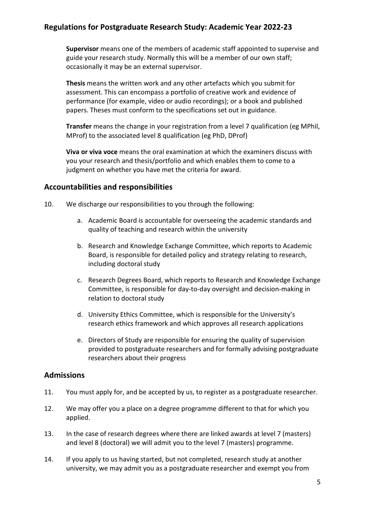**Supervisor** means one of the members of academic staff appointed to supervise and guide your research study. Normally this will be a member of our own staff; occasionally it may be an external supervisor.

**Thesis** means the written work and any other artefacts which you submit for assessment. This can encompass a portfolio of creative work and evidence of performance (for example, video or audio recordings); or a book and published papers. Theses must conform to the specifications set out in guidance.

**Transfer** means the change in your registration from a level 7 qualification (eg MPhil, MProf) to the associated level 8 qualification (eg PhD, DProf)

**Viva or viva voce** means the oral examination at which the examiners discuss with you your research and thesis/portfolio and which enables them to come to a judgment on whether you have met the criteria for award.

#### <span id="page-4-0"></span>**Accountabilities and responsibilities**

- 10. We discharge our responsibilities to you through the following:
	- a. Academic Board is accountable for overseeing the academic standards and quality of teaching and research within the university
	- b. Research and Knowledge Exchange Committee, which reports to Academic Board, is responsible for detailed policy and strategy relating to research, including doctoral study
	- c. Research Degrees Board, which reports to Research and Knowledge Exchange Committee, is responsible for day-to-day oversight and decision-making in relation to doctoral study
	- d. University Ethics Committee, which is responsible for the University's research ethics framework and which approves all research applications
	- e. Directors of Study are responsible for ensuring the quality of supervision provided to postgraduate researchers and for formally advising postgraduate researchers about their progress

#### <span id="page-4-1"></span>**Admissions**

- 11. You must apply for, and be accepted by us, to register as a postgraduate researcher.
- 12. We may offer you a place on a degree programme different to that for which you applied.
- 13. In the case of research degrees where there are linked awards at level 7 (masters) and level 8 (doctoral) we will admit you to the level 7 (masters) programme.
- 14. If you apply to us having started, but not completed, research study at another university, we may admit you as a postgraduate researcher and exempt you from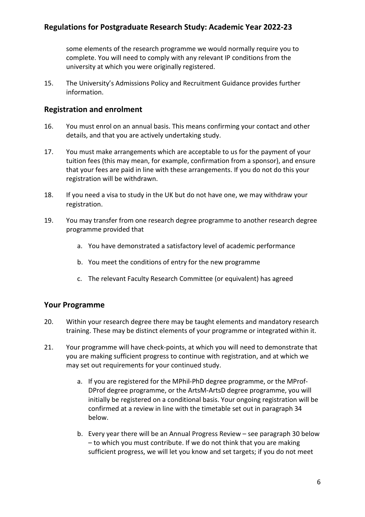some elements of the research programme we would normally require you to complete. You will need to comply with any relevant IP conditions from the university at which you were originally registered.

15. The University's Admissions Policy and Recruitment Guidance provides further information.

#### <span id="page-5-0"></span>**Registration and enrolment**

- 16. You must enrol on an annual basis. This means confirming your contact and other details, and that you are actively undertaking study.
- 17. You must make arrangements which are acceptable to us for the payment of your tuition fees (this may mean, for example, confirmation from a sponsor), and ensure that your fees are paid in line with these arrangements. If you do not do this your registration will be withdrawn.
- 18. If you need a visa to study in the UK but do not have one, we may withdraw your registration.
- 19. You may transfer from one research degree programme to another research degree programme provided that
	- a. You have demonstrated a satisfactory level of academic performance
	- b. You meet the conditions of entry for the new programme
	- c. The relevant Faculty Research Committee (or equivalent) has agreed

#### <span id="page-5-1"></span>**Your Programme**

- 20. Within your research degree there may be taught elements and mandatory research training. These may be distinct elements of your programme or integrated within it.
- 21. Your programme will have check-points, at which you will need to demonstrate that you are making sufficient progress to continue with registration, and at which we may set out requirements for your continued study.
	- a. If you are registered for the MPhil-PhD degree programme, or the MProf-DProf degree programme, or the ArtsM-ArtsD degree programme, you will initially be registered on a conditional basis. Your ongoing registration will be confirmed at a review in line with the timetable set out in paragraph 34 below.
	- b. Every year there will be an Annual Progress Review see paragraph 30 below – to which you must contribute. If we do not think that you are making sufficient progress, we will let you know and set targets; if you do not meet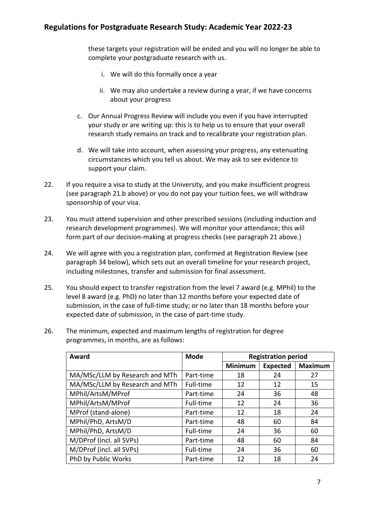these targets your registration will be ended and you will no longer be able to complete your postgraduate research with us.

- i. We will do this formally once a year
- ii. We may also undertake a review during a year, if we have concerns about your progress
- c. Our Annual Progress Review will include you even if you have interrupted your study or are writing up: this is to help us to ensure that your overall research study remains on track and to recalibrate your registration plan.
- d. We will take into account, when assessing your progress, any extenuating circumstances which you tell us about. We may ask to see evidence to support your claim.
- 22. If you require a visa to study at the University, and you make insufficient progress (see paragraph 21.b above) or you do not pay your tuition fees, we will withdraw sponsorship of your visa.
- 23. You must attend supervision and other prescribed sessions (including induction and research development programmes). We will monitor your attendance; this will form part of our decision-making at progress checks (see paragraph 21 above.)
- 24. We will agree with you a registration plan, confirmed at Registration Review (see paragraph 34 below), which sets out an overall timeline for your research project, including milestones, transfer and submission for final assessment.
- 25. You should expect to transfer registration from the level 7 award (e.g. MPhil) to the level 8 award (e.g. PhD) no later than 12 months before your expected date of submission, in the case of full-time study; or no later than 18 months before your expected date of submission, in the case of part-time study.
- 26. The minimum, expected and maximum lengths of registration for degree programmes, in months, are as follows:

| Award                          | <b>Mode</b> | <b>Registration period</b> |                 |                |
|--------------------------------|-------------|----------------------------|-----------------|----------------|
|                                |             | <b>Minimum</b>             | <b>Expected</b> | <b>Maximum</b> |
| MA/MSc/LLM by Research and MTh | Part-time   | 18                         | 24              | 27             |
| MA/MSc/LLM by Research and MTh | Full-time   | 12                         | 12              | 15             |
| MPhil/ArtsM/MProf              | Part-time   | 24                         | 36              | 48             |
| MPhil/ArtsM/MProf              | Full-time   | 12                         | 24              | 36             |
| MProf (stand-alone)            | Part-time   | 12                         | 18              | 24             |
| MPhil/PhD, ArtsM/D             | Part-time   | 48                         | 60              | 84             |
| MPhil/PhD, ArtsM/D             | Full-time   | 24                         | 36              | 60             |
| M/DProf (incl. all SVPs)       | Part-time   | 48                         | 60              | 84             |
| M/DProf (incl. all SVPs)       | Full-time   | 24                         | 36              | 60             |
| PhD by Public Works            | Part-time   | 12                         | 18              | 24             |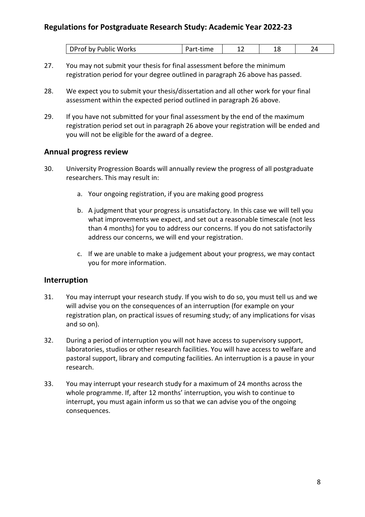| Works<br>ublic<br>nv.<br>. . | . | -- |  |
|------------------------------|---|----|--|

- 27. You may not submit your thesis for final assessment before the minimum registration period for your degree outlined in paragraph 26 above has passed.
- 28. We expect you to submit your thesis/dissertation and all other work for your final assessment within the expected period outlined in paragraph 26 above.
- 29. If you have not submitted for your final assessment by the end of the maximum registration period set out in paragraph 26 above your registration will be ended and you will not be eligible for the award of a degree.

#### <span id="page-7-0"></span>**Annual progress review**

- 30. University Progression Boards will annually review the progress of all postgraduate researchers. This may result in:
	- a. Your ongoing registration, if you are making good progress
	- b. A judgment that your progress is unsatisfactory. In this case we will tell you what improvements we expect, and set out a reasonable timescale (not less than 4 months) for you to address our concerns. If you do not satisfactorily address our concerns, we will end your registration.
	- c. If we are unable to make a judgement about your progress, we may contact you for more information.

#### <span id="page-7-1"></span>**Interruption**

- 31. You may interrupt your research study. If you wish to do so, you must tell us and we will advise you on the consequences of an interruption (for example on your registration plan, on practical issues of resuming study; of any implications for visas and so on).
- 32. During a period of interruption you will not have access to supervisory support, laboratories, studios or other research facilities. You will have access to welfare and pastoral support, library and computing facilities. An interruption is a pause in your research.
- 33. You may interrupt your research study for a maximum of 24 months across the whole programme. If, after 12 months' interruption, you wish to continue to interrupt, you must again inform us so that we can advise you of the ongoing consequences.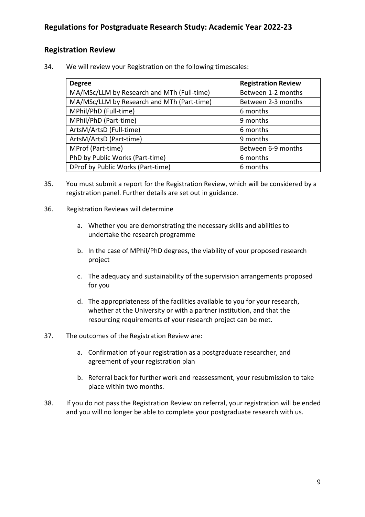#### <span id="page-8-0"></span>**Registration Review**

34. We will review your Registration on the following timescales:

| <b>Degree</b>                              | <b>Registration Review</b> |
|--------------------------------------------|----------------------------|
| MA/MSc/LLM by Research and MTh (Full-time) | Between 1-2 months         |
| MA/MSc/LLM by Research and MTh (Part-time) | Between 2-3 months         |
| MPhil/PhD (Full-time)                      | 6 months                   |
| MPhil/PhD (Part-time)                      | 9 months                   |
| ArtsM/ArtsD (Full-time)                    | 6 months                   |
| ArtsM/ArtsD (Part-time)                    | 9 months                   |
| MProf (Part-time)                          | Between 6-9 months         |
| PhD by Public Works (Part-time)            | 6 months                   |
| DProf by Public Works (Part-time)          | 6 months                   |

- 35. You must submit a report for the Registration Review, which will be considered by a registration panel. Further details are set out in guidance.
- 36. Registration Reviews will determine
	- a. Whether you are demonstrating the necessary skills and abilities to undertake the research programme
	- b. In the case of MPhil/PhD degrees, the viability of your proposed research project
	- c. The adequacy and sustainability of the supervision arrangements proposed for you
	- d. The appropriateness of the facilities available to you for your research, whether at the University or with a partner institution, and that the resourcing requirements of your research project can be met.
- 37. The outcomes of the Registration Review are:
	- a. Confirmation of your registration as a postgraduate researcher, and agreement of your registration plan
	- b. Referral back for further work and reassessment, your resubmission to take place within two months.
- 38. If you do not pass the Registration Review on referral, your registration will be ended and you will no longer be able to complete your postgraduate research with us.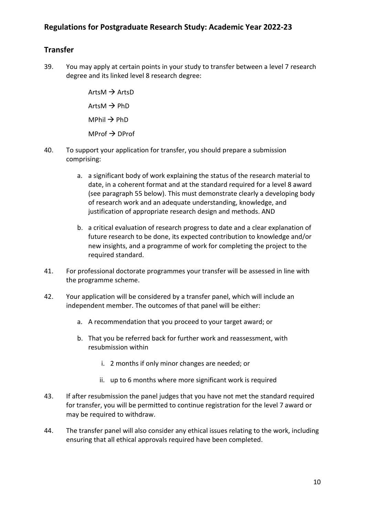# <span id="page-9-0"></span>**Transfer**

39. You may apply at certain points in your study to transfer between a level 7 research degree and its linked level 8 research degree:

> $ArtsM \rightarrow ArtsD$  $ArtsM \rightarrow PhD$  $M$ Phil  $\rightarrow$  PhD  $MProf \rightarrow DProf$

- 40. To support your application for transfer, you should prepare a submission comprising:
	- a. a significant body of work explaining the status of the research material to date, in a coherent format and at the standard required for a level 8 award (see paragraph 55 below). This must demonstrate clearly a developing body of research work and an adequate understanding, knowledge, and justification of appropriate research design and methods. AND
	- b. a critical evaluation of research progress to date and a clear explanation of future research to be done, its expected contribution to knowledge and/or new insights, and a programme of work for completing the project to the required standard.
- 41. For professional doctorate programmes your transfer will be assessed in line with the programme scheme.
- 42. Your application will be considered by a transfer panel, which will include an independent member. The outcomes of that panel will be either:
	- a. A recommendation that you proceed to your target award; or
	- b. That you be referred back for further work and reassessment, with resubmission within
		- i. 2 months if only minor changes are needed; or
		- ii. up to 6 months where more significant work is required
- 43. If after resubmission the panel judges that you have not met the standard required for transfer, you will be permitted to continue registration for the level 7 award or may be required to withdraw.
- 44. The transfer panel will also consider any ethical issues relating to the work, including ensuring that all ethical approvals required have been completed.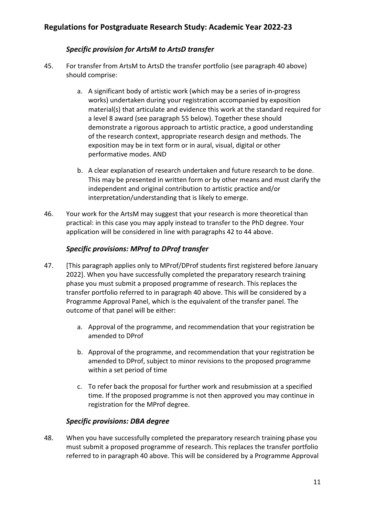#### *Specific provision for ArtsM to ArtsD transfer*

- <span id="page-10-0"></span>45. For transfer from ArtsM to ArtsD the transfer portfolio (see paragraph 40 above) should comprise:
	- a. A significant body of artistic work (which may be a series of in-progress works) undertaken during your registration accompanied by exposition material(s) that articulate and evidence this work at the standard required for a level 8 award (see paragraph 55 below). Together these should demonstrate a rigorous approach to artistic practice, a good understanding of the research context, appropriate research design and methods. The exposition may be in text form or in aural, visual, digital or other performative modes. AND
	- b. A clear explanation of research undertaken and future research to be done. This may be presented in written form or by other means and must clarify the independent and original contribution to artistic practice and/or interpretation/understanding that is likely to emerge.
- 46. Your work for the ArtsM may suggest that your research is more theoretical than practical: in this case you may apply instead to transfer to the PhD degree. Your application will be considered in line with paragraphs 42 to 44 above.

#### *Specific provisions: MProf to DProf transfer*

- <span id="page-10-1"></span>47. [This paragraph applies only to MProf/DProf students first registered before January 2022]. When you have successfully completed the preparatory research training phase you must submit a proposed programme of research. This replaces the transfer portfolio referred to in paragraph 40 above. This will be considered by a Programme Approval Panel, which is the equivalent of the transfer panel. The outcome of that panel will be either:
	- a. Approval of the programme, and recommendation that your registration be amended to DProf
	- b. Approval of the programme, and recommendation that your registration be amended to DProf, subject to minor revisions to the proposed programme within a set period of time
	- c. To refer back the proposal for further work and resubmission at a specified time. If the proposed programme is not then approved you may continue in registration for the MProf degree.

#### *Specific provisions: DBA degree*

<span id="page-10-2"></span>48. When you have successfully completed the preparatory research training phase you must submit a proposed programme of research. This replaces the transfer portfolio referred to in paragraph 40 above. This will be considered by a Programme Approval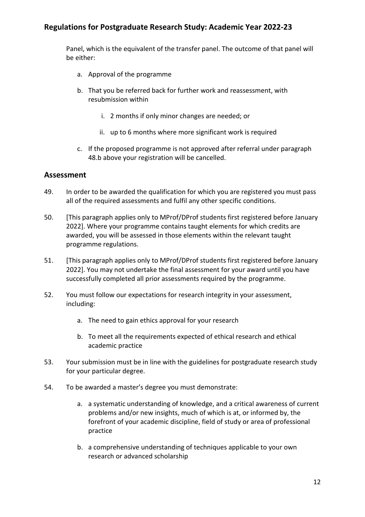Panel, which is the equivalent of the transfer panel. The outcome of that panel will be either:

- a. Approval of the programme
- b. That you be referred back for further work and reassessment, with resubmission within
	- i. 2 months if only minor changes are needed; or
	- ii. up to 6 months where more significant work is required
- c. If the proposed programme is not approved after referral under paragraph 48.b above your registration will be cancelled.

#### <span id="page-11-0"></span>**Assessment**

- 49. In order to be awarded the qualification for which you are registered you must pass all of the required assessments and fulfil any other specific conditions.
- 50. [This paragraph applies only to MProf/DProf students first registered before January 2022]. Where your programme contains taught elements for which credits are awarded, you will be assessed in those elements within the relevant taught programme regulations.
- 51. [This paragraph applies only to MProf/DProf students first registered before January 2022]. You may not undertake the final assessment for your award until you have successfully completed all prior assessments required by the programme.
- 52. You must follow our expectations for research integrity in your assessment, including:
	- a. The need to gain ethics approval for your research
	- b. To meet all the requirements expected of ethical research and ethical academic practice
- 53. Your submission must be in line with the guidelines for postgraduate research study for your particular degree.
- 54. To be awarded a master's degree you must demonstrate:
	- a. a systematic understanding of knowledge, and a critical awareness of current problems and/or new insights, much of which is at, or informed by, the forefront of your academic discipline, field of study or area of professional practice
	- b. a comprehensive understanding of techniques applicable to your own research or advanced scholarship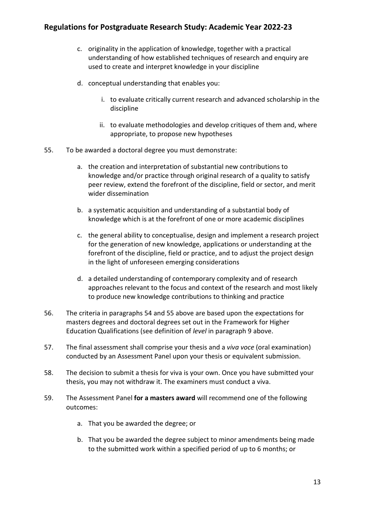- c. originality in the application of knowledge, together with a practical understanding of how established techniques of research and enquiry are used to create and interpret knowledge in your discipline
- d. conceptual understanding that enables you:
	- i. to evaluate critically current research and advanced scholarship in the discipline
	- ii. to evaluate methodologies and develop critiques of them and, where appropriate, to propose new hypotheses
- 55. To be awarded a doctoral degree you must demonstrate:
	- a. the creation and interpretation of substantial new contributions to knowledge and/or practice through original research of a quality to satisfy peer review, extend the forefront of the discipline, field or sector, and merit wider dissemination
	- b. a systematic acquisition and understanding of a substantial body of knowledge which is at the forefront of one or more academic disciplines
	- c. the general ability to conceptualise, design and implement a research project for the generation of new knowledge, applications or understanding at the forefront of the discipline, field or practice, and to adjust the project design in the light of unforeseen emerging considerations
	- d. a detailed understanding of contemporary complexity and of research approaches relevant to the focus and context of the research and most likely to produce new knowledge contributions to thinking and practice
- 56. The criteria in paragraphs 54 and 55 above are based upon the expectations for masters degrees and doctoral degrees set out in the Framework for Higher Education Qualifications (see definition of *level* in paragraph 9 above.
- 57. The final assessment shall comprise your thesis and a *viva voce* (oral examination) conducted by an Assessment Panel upon your thesis or equivalent submission.
- 58. The decision to submit a thesis for viva is your own. Once you have submitted your thesis, you may not withdraw it. The examiners must conduct a viva.
- 59. The Assessment Panel **for a masters award** will recommend one of the following outcomes:
	- a. That you be awarded the degree; or
	- b. That you be awarded the degree subject to minor amendments being made to the submitted work within a specified period of up to 6 months; or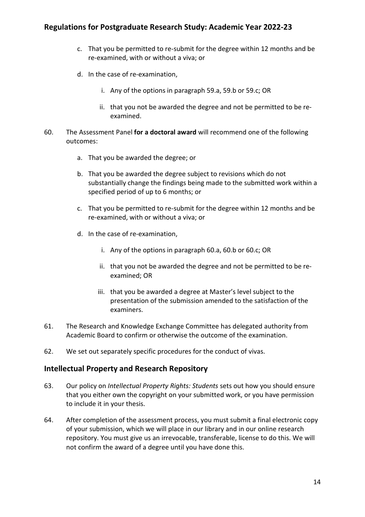- c. That you be permitted to re-submit for the degree within 12 months and be re-examined, with or without a viva; or
- d. In the case of re-examination,
	- i. Any of the options in paragraph 59.a, 59.b or 59.c; OR
	- ii. that you not be awarded the degree and not be permitted to be reexamined.
- 60. The Assessment Panel **for a doctoral award** will recommend one of the following outcomes:
	- a. That you be awarded the degree; or
	- b. That you be awarded the degree subject to revisions which do not substantially change the findings being made to the submitted work within a specified period of up to 6 months; or
	- c. That you be permitted to re-submit for the degree within 12 months and be re-examined, with or without a viva; or
	- d. In the case of re-examination,
		- i. Any of the options in paragraph 60.a, 60.b or 60.c; OR
		- ii. that you not be awarded the degree and not be permitted to be reexamined; OR
		- iii. that you be awarded a degree at Master's level subject to the presentation of the submission amended to the satisfaction of the examiners.
- 61. The Research and Knowledge Exchange Committee has delegated authority from Academic Board to confirm or otherwise the outcome of the examination.
- 62. We set out separately specific procedures for the conduct of vivas.

#### <span id="page-13-0"></span>**Intellectual Property and Research Repository**

- 63. Our policy on *Intellectual Property Rights: Students* sets out how you should ensure that you either own the copyright on your submitted work, or you have permission to include it in your thesis.
- 64. After completion of the assessment process, you must submit a final electronic copy of your submission, which we will place in our library and in our online research repository. You must give us an irrevocable, transferable, license to do this. We will not confirm the award of a degree until you have done this.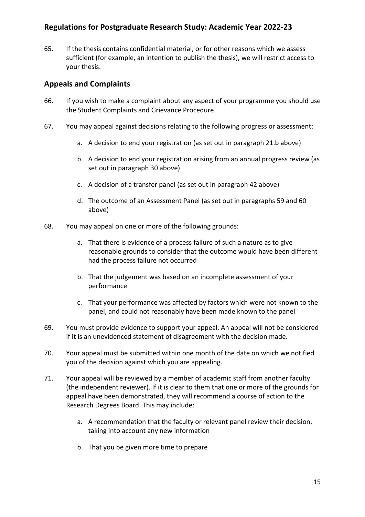65. If the thesis contains confidential material, or for other reasons which we assess sufficient (for example, an intention to publish the thesis), we will restrict access to your thesis.

#### <span id="page-14-0"></span>**Appeals and Complaints**

- 66. If you wish to make a complaint about any aspect of your programme you should use the Student Complaints and Grievance Procedure.
- 67. You may appeal against decisions relating to the following progress or assessment:
	- a. A decision to end your registration (as set out in paragraph 21.b above)
	- b. A decision to end your registration arising from an annual progress review (as set out in paragraph 30 above)
	- c. A decision of a transfer panel (as set out in paragraph 42 above)
	- d. The outcome of an Assessment Panel (as set out in paragraphs 59 and 60 above)
- 68. You may appeal on one or more of the following grounds:
	- a. That there is evidence of a process failure of such a nature as to give reasonable grounds to consider that the outcome would have been different had the process failure not occurred
	- b. That the judgement was based on an incomplete assessment of your performance
	- c. That your performance was affected by factors which were not known to the panel, and could not reasonably have been made known to the panel
- 69. You must provide evidence to support your appeal. An appeal will not be considered if it is an unevidenced statement of disagreement with the decision made.
- 70. Your appeal must be submitted within one month of the date on which we notified you of the decision against which you are appealing.
- 71. Your appeal will be reviewed by a member of academic staff from another faculty (the independent reviewer). If it is clear to them that one or more of the grounds for appeal have been demonstrated, they will recommend a course of action to the Research Degrees Board. This may include:
	- a. A recommendation that the faculty or relevant panel review their decision, taking into account any new information
	- b. That you be given more time to prepare